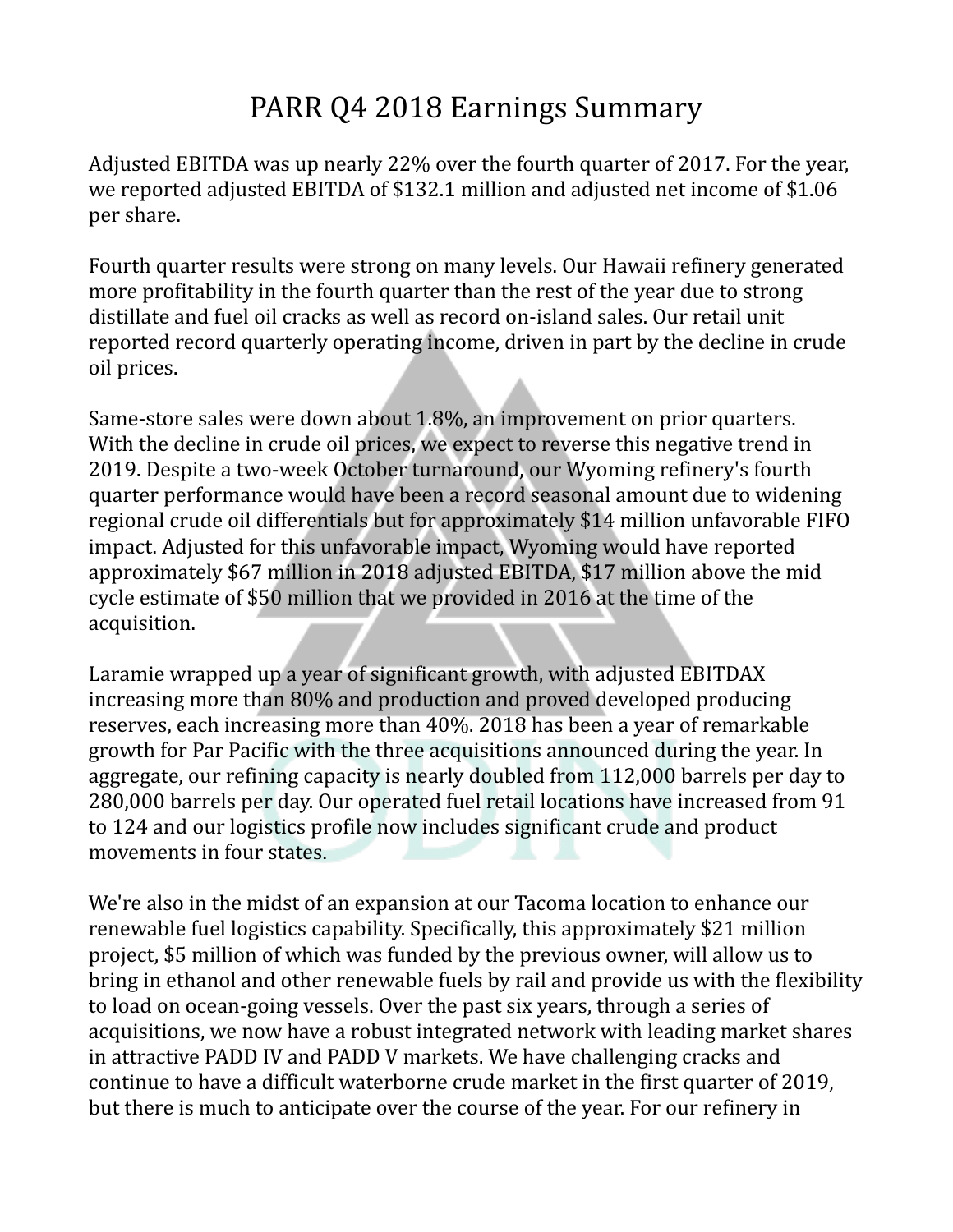## PARR Q4 2018 Earnings Summary

Adjusted EBITDA was up nearly 22% over the fourth quarter of 2017. For the year, we reported adjusted EBITDA of \$132.1 million and adjusted net income of \$1.06 per share.

Fourth quarter results were strong on many levels. Our Hawaii refinery generated more profitability in the fourth quarter than the rest of the year due to strong distillate and fuel oil cracks as well as record on-island sales. Our retail unit reported record quarterly operating income, driven in part by the decline in crude oil prices.

Same-store sales were down about 1.8%, an improvement on prior quarters. With the decline in crude oil prices, we expect to reverse this negative trend in 2019. Despite a two-week October turnaround, our Wyoming refinery's fourth quarter performance would have been a record seasonal amount due to widening regional crude oil differentials but for approximately \$14 million unfavorable FIFO impact. Adjusted for this unfavorable impact, Wyoming would have reported approximately \$67 million in 2018 adjusted EBITDA, \$17 million above the mid cycle estimate of \$50 million that we provided in 2016 at the time of the acquisition.

Laramie wrapped up a year of significant growth, with adjusted EBITDAX increasing more than 80% and production and proved developed producing reserves, each increasing more than 40%. 2018 has been a year of remarkable growth for Par Pacific with the three acquisitions announced during the year. In aggregate, our refining capacity is nearly doubled from 112,000 barrels per day to 280,000 barrels per day. Our operated fuel retail locations have increased from 91 to 124 and our logistics profile now includes significant crude and product movements in four states.

We're also in the midst of an expansion at our Tacoma location to enhance our renewable fuel logistics capability. Specifically, this approximately \$21 million project, \$5 million of which was funded by the previous owner, will allow us to bring in ethanol and other renewable fuels by rail and provide us with the flexibility to load on ocean-going vessels. Over the past six years, through a series of acquisitions, we now have a robust integrated network with leading market shares in attractive PADD IV and PADD V markets. We have challenging cracks and continue to have a difficult waterborne crude market in the first quarter of 2019, but there is much to anticipate over the course of the year. For our refinery in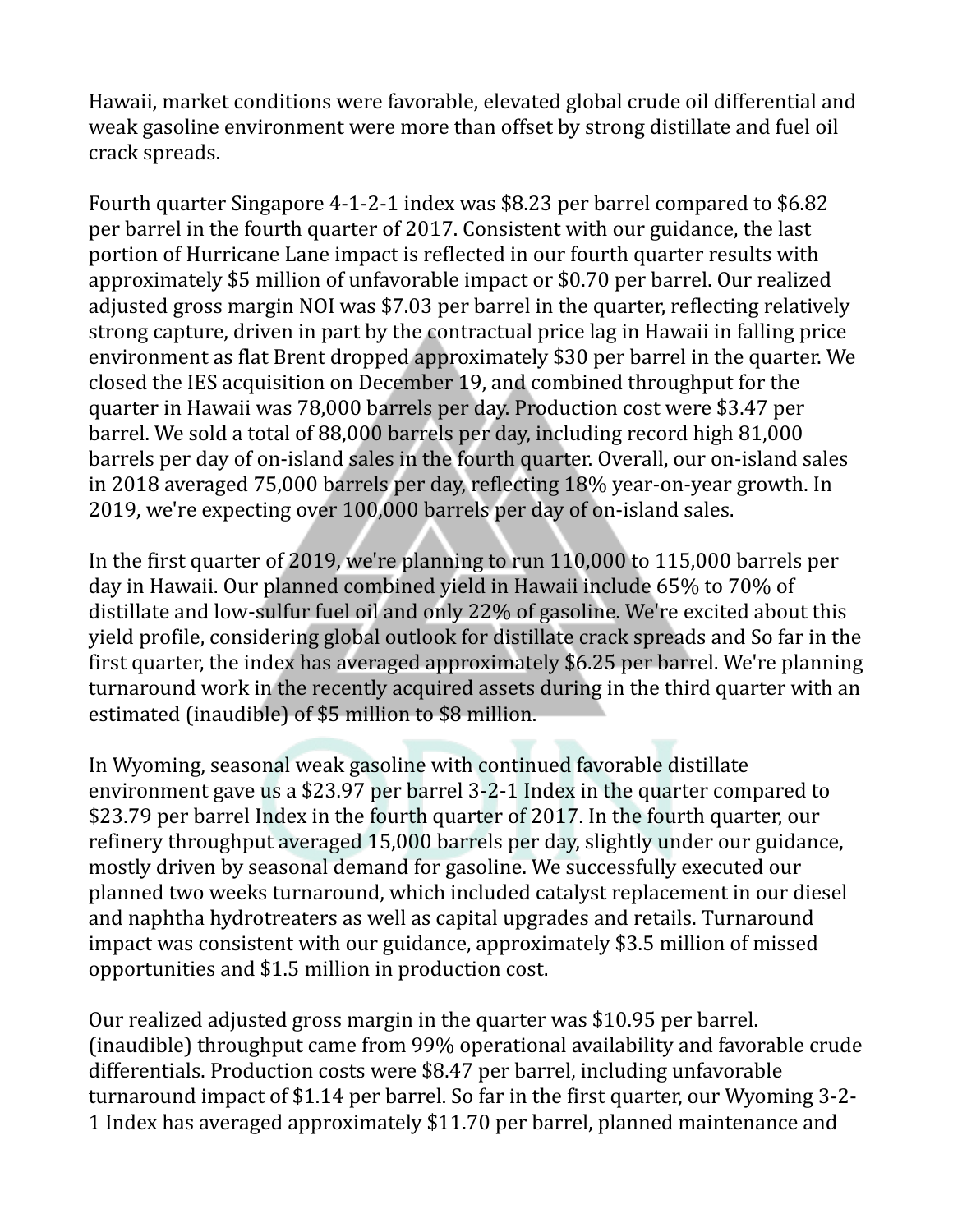Hawaii, market conditions were favorable, elevated global crude oil differential and weak gasoline environment were more than offset by strong distillate and fuel oil crack spreads.

Fourth quarter Singapore 4-1-2-1 index was \$8.23 per barrel compared to \$6.82 per barrel in the fourth quarter of 2017. Consistent with our guidance, the last portion of Hurricane Lane impact is reflected in our fourth quarter results with approximately \$5 million of unfavorable impact or \$0.70 per barrel. Our realized adjusted gross margin NOI was \$7.03 per barrel in the quarter, reflecting relatively strong capture, driven in part by the contractual price lag in Hawaii in falling price environment as flat Brent dropped approximately \$30 per barrel in the quarter. We closed the IES acquisition on December 19, and combined throughput for the quarter in Hawaii was 78,000 barrels per day. Production cost were \$3.47 per barrel. We sold a total of 88,000 barrels per day, including record high 81,000 barrels per day of on-island sales in the fourth quarter. Overall, our on-island sales in 2018 averaged 75,000 barrels per day, reflecting 18% year-on-year growth. In 2019, we're expecting over 100,000 barrels per day of on-island sales.

In the first quarter of 2019, we're planning to run 110,000 to 115,000 barrels per day in Hawaii. Our planned combined yield in Hawaii include 65% to 70% of distillate and low-sulfur fuel oil and only 22% of gasoline. We're excited about this yield profile, considering global outlook for distillate crack spreads and So far in the first quarter, the index has averaged approximately \$6.25 per barrel. We're planning turnaround work in the recently acquired assets during in the third quarter with an estimated (inaudible) of \$5 million to \$8 million.

In Wyoming, seasonal weak gasoline with continued favorable distillate environment gave us a \$23.97 per barrel 3-2-1 Index in the quarter compared to \$23.79 per barrel Index in the fourth quarter of 2017. In the fourth quarter, our refinery throughput averaged 15,000 barrels per day, slightly under our guidance, mostly driven by seasonal demand for gasoline. We successfully executed our planned two weeks turnaround, which included catalyst replacement in our diesel and naphtha hydrotreaters as well as capital upgrades and retails. Turnaround impact was consistent with our guidance, approximately \$3.5 million of missed opportunities and \$1.5 million in production cost.

Our realized adjusted gross margin in the quarter was \$10.95 per barrel. (inaudible) throughput came from 99% operational availability and favorable crude differentials. Production costs were \$8.47 per barrel, including unfavorable turnaround impact of \$1.14 per barrel. So far in the first quarter, our Wyoming 3-2- 1 Index has averaged approximately \$11.70 per barrel, planned maintenance and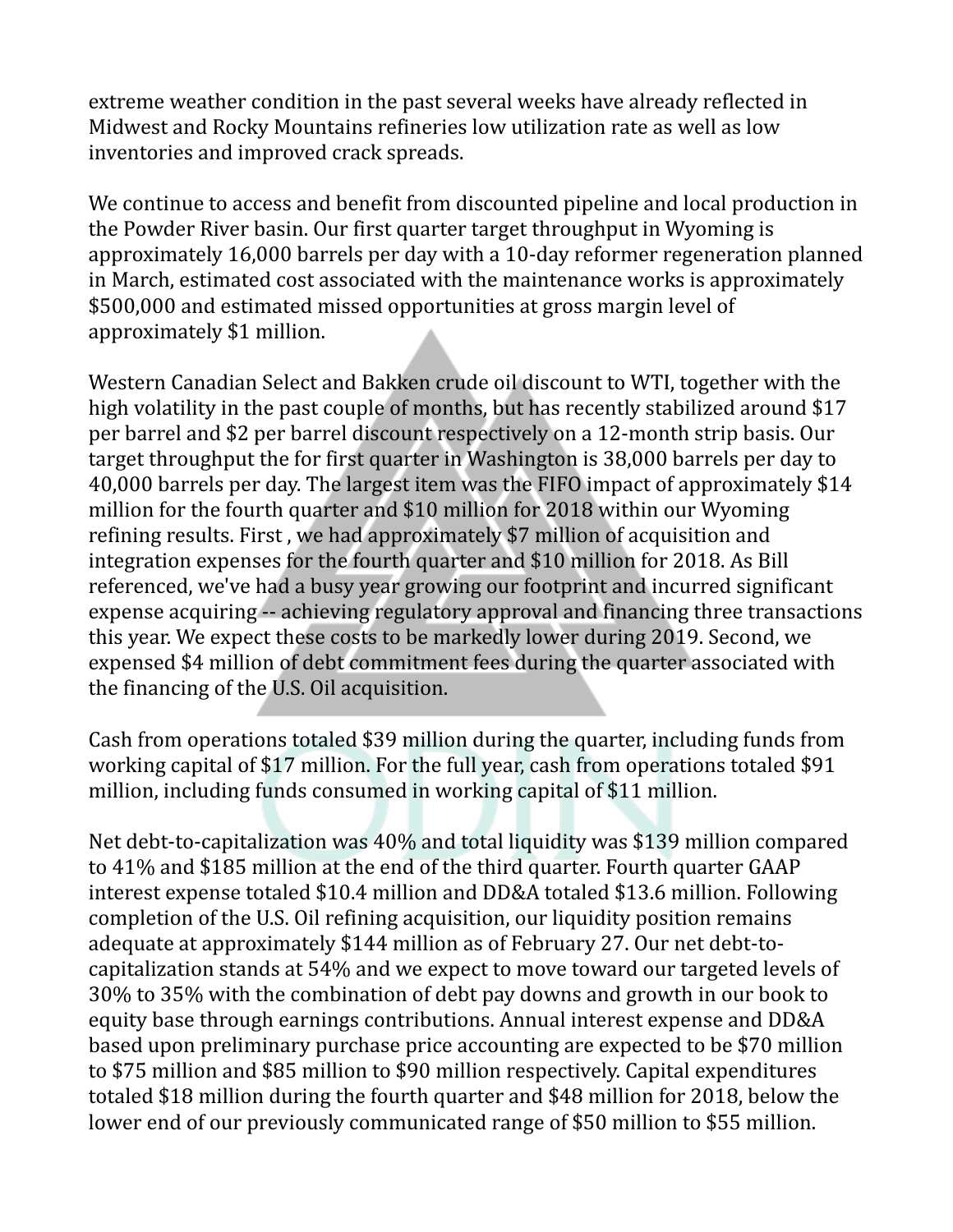extreme weather condition in the past several weeks have already reflected in Midwest and Rocky Mountains refineries low utilization rate as well as low inventories and improved crack spreads.

We continue to access and benefit from discounted pipeline and local production in the Powder River basin. Our first quarter target throughput in Wyoming is approximately 16,000 barrels per day with a 10-day reformer regeneration planned in March, estimated cost associated with the maintenance works is approximately \$500,000 and estimated missed opportunities at gross margin level of approximately \$1 million.

Western Canadian Select and Bakken crude oil discount to WTI, together with the high volatility in the past couple of months, but has recently stabilized around \$17 per barrel and \$2 per barrel discount respectively on a 12-month strip basis. Our target throughput the for first quarter in Washington is 38,000 barrels per day to 40,000 barrels per day. The largest item was the FIFO impact of approximately \$14 million for the fourth quarter and \$10 million for 2018 within our Wyoming refining results. First , we had approximately \$7 million of acquisition and integration expenses for the fourth quarter and \$10 million for 2018. As Bill referenced, we've had a busy year growing our footprint and incurred significant expense acquiring -- achieving regulatory approval and financing three transactions this year. We expect these costs to be markedly lower during 2019. Second, we expensed \$4 million of debt commitment fees during the quarter associated with the financing of the U.S. Oil acquisition.

Cash from operations totaled \$39 million during the quarter, including funds from working capital of \$17 million. For the full year, cash from operations totaled \$91 million, including funds consumed in working capital of \$11 million.

Net debt-to-capitalization was 40% and total liquidity was \$139 million compared to 41% and \$185 million at the end of the third quarter. Fourth quarter GAAP interest expense totaled \$10.4 million and DD&A totaled \$13.6 million. Following completion of the U.S. Oil refining acquisition, our liquidity position remains adequate at approximately \$144 million as of February 27. Our net debt-tocapitalization stands at 54% and we expect to move toward our targeted levels of 30% to 35% with the combination of debt pay downs and growth in our book to equity base through earnings contributions. Annual interest expense and DD&A based upon preliminary purchase price accounting are expected to be \$70 million to \$75 million and \$85 million to \$90 million respectively. Capital expenditures totaled \$18 million during the fourth quarter and \$48 million for 2018, below the lower end of our previously communicated range of \$50 million to \$55 million.